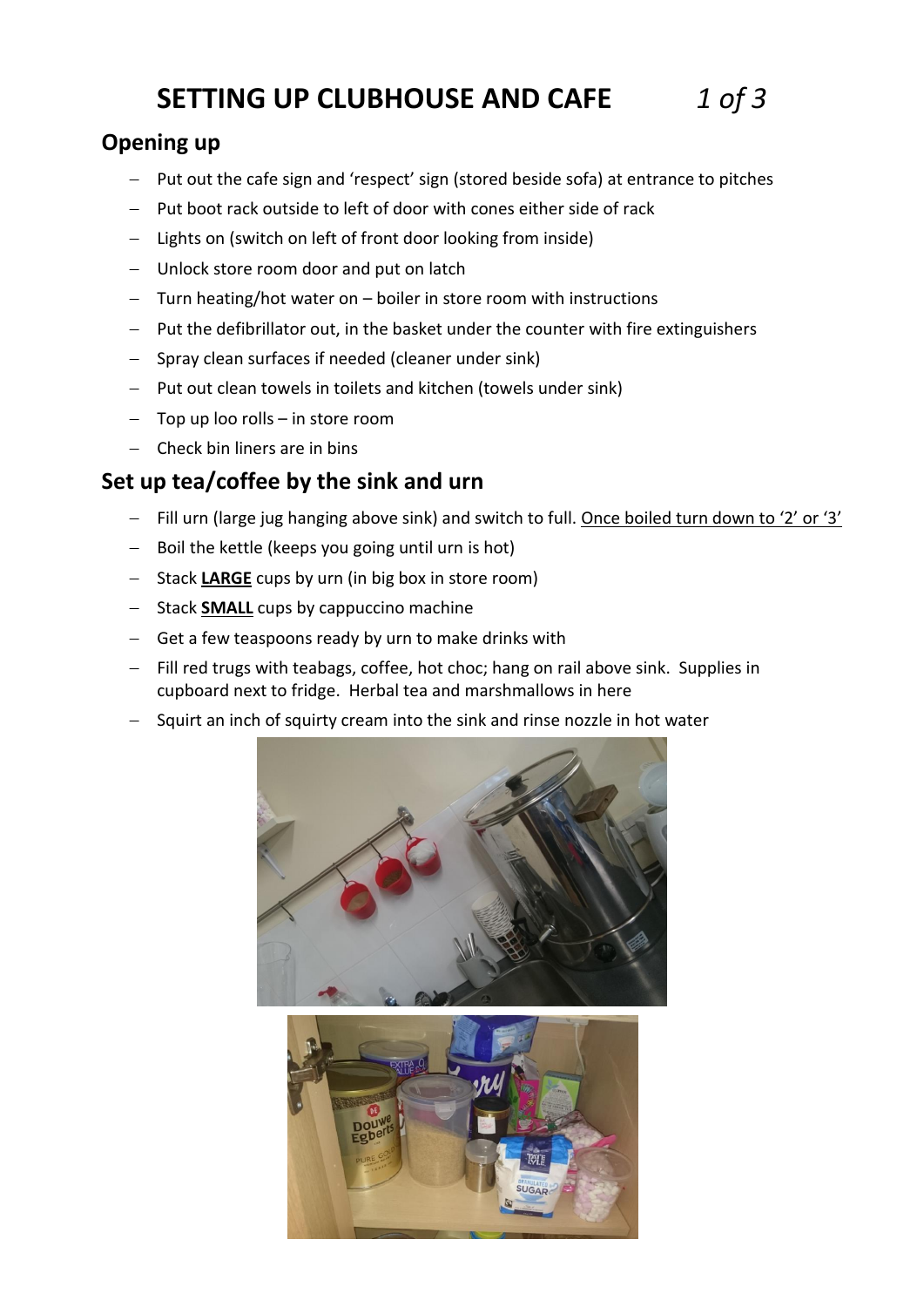# **SETTING UP CLUBHOUSE AND CAFE** *1 of 3*

### **Opening up**

- Put out the cafe sign and 'respect' sign (stored beside sofa) at entrance to pitches
- $-$  Put boot rack outside to left of door with cones either side of rack
- Lights on (switch on left of front door looking from inside)
- Unlock store room door and put on latch
- Turn heating/hot water on boiler in store room with instructions
- $-$  Put the defibrillator out, in the basket under the counter with fire extinguishers
- Spray clean surfaces if needed (cleaner under sink)
- $-$  Put out clean towels in toilets and kitchen (towels under sink)
- $-$  Top up loo rolls  $-$  in store room
- Check bin liners are in bins

### **Set up tea/coffee by the sink and urn**

- $-$  Fill urn (large jug hanging above sink) and switch to full. Once boiled turn down to '2' or '3'
- $-$  Boil the kettle (keeps you going until urn is hot)
- Stack LARGE cups by urn (in big box in store room)
- Stack **SMALL** cups by cappuccino machine
- Get a few teaspoons ready by urn to make drinks with
- Fill red trugs with teabags, coffee, hot choc; hang on rail above sink. Supplies in cupboard next to fridge. Herbal tea and marshmallows in here
- Squirt an inch of squirty cream into the sink and rinse nozzle in hot water

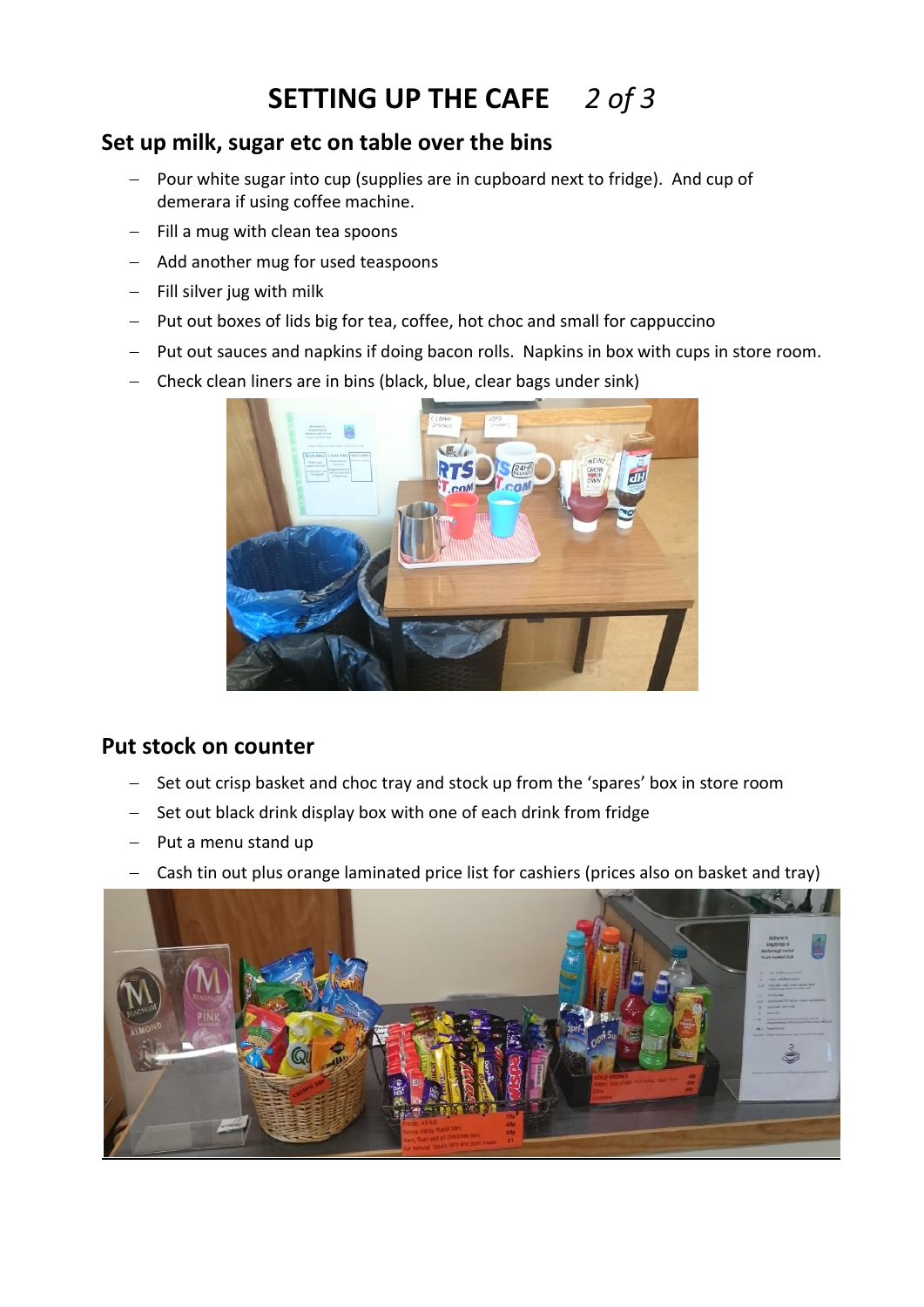## **SETTING UP THE CAFE** *2 of 3*

### **Set up milk, sugar etc on table over the bins**

- Pour white sugar into cup (supplies are in cupboard next to fridge). And cup of demerara if using coffee machine.
- $-$  Fill a mug with clean tea spoons
- Add another mug for used teaspoons
- $-$  Fill silver jug with milk
- Put out boxes of lids big for tea, coffee, hot choc and small for cappuccino
- Put out sauces and napkins if doing bacon rolls. Napkins in box with cups in store room.
- Check clean liners are in bins (black, blue, clear bags under sink)



#### **Put stock on counter**

- Set out crisp basket and choc tray and stock up from the 'spares' box in store room
- Set out black drink display box with one of each drink from fridge
- $-$  Put a menu stand up
- Cash tin out plus orange laminated price list for cashiers (prices also on basket and tray)

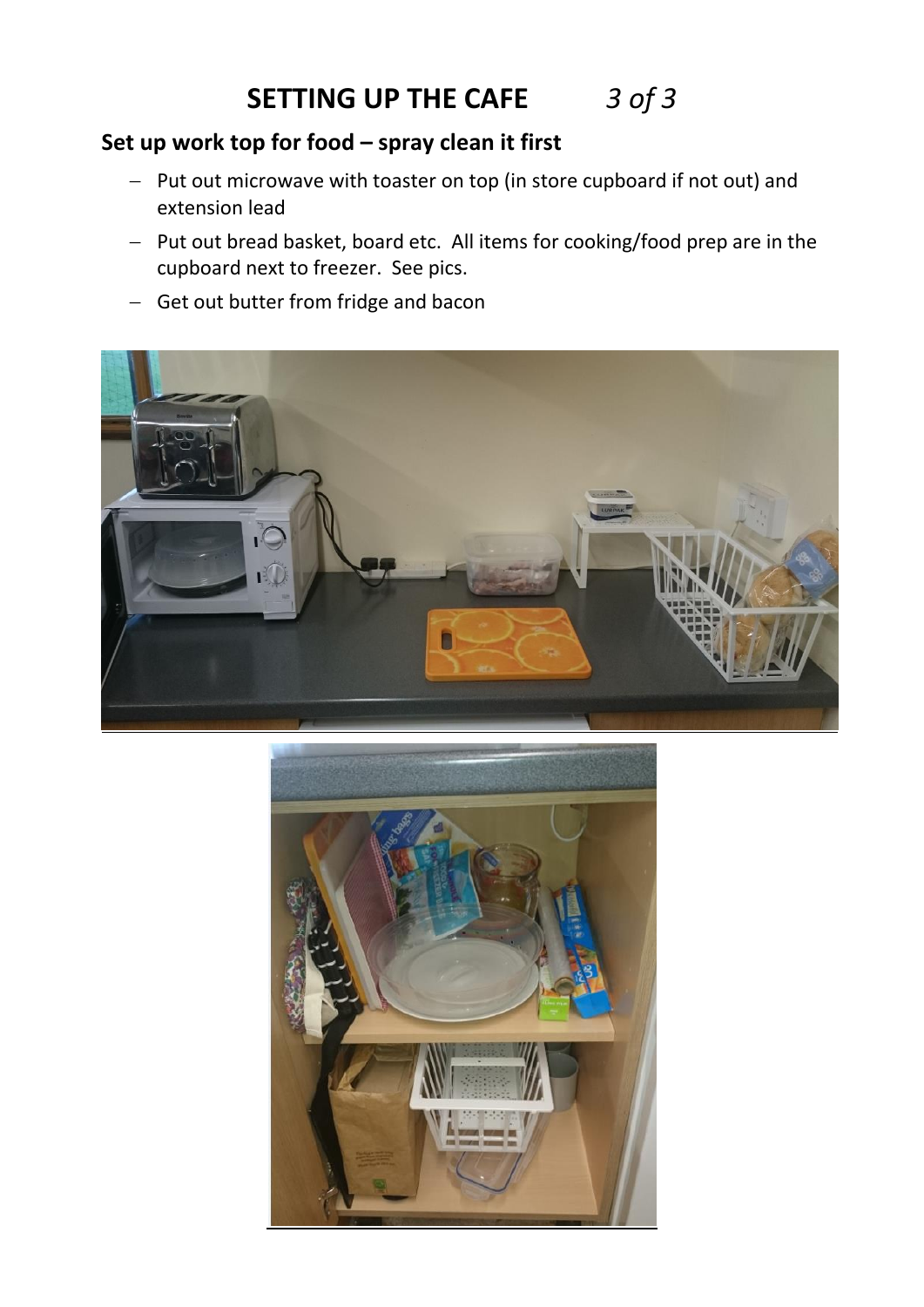# **SETTING UP THE CAFE** *3 of 3*

### **Set up work top for food – spray clean it first**

- Put out microwave with toaster on top (in store cupboard if not out) and extension lead
- Put out bread basket, board etc. All items for cooking/food prep are in the cupboard next to freezer. See pics.
- Get out butter from fridge and bacon